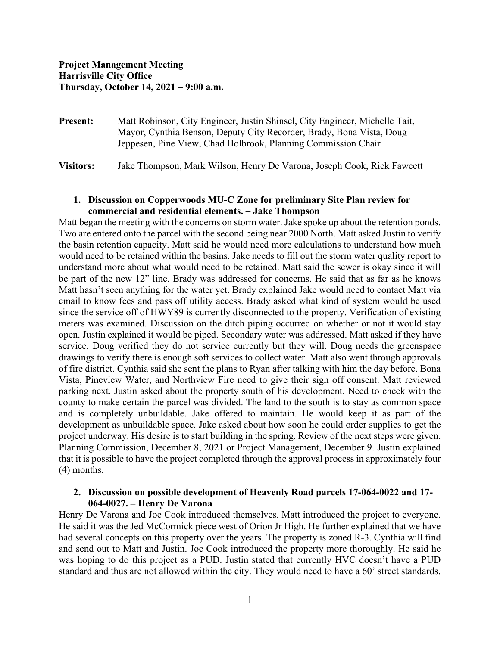**Present:** Matt Robinson, City Engineer, Justin Shinsel, City Engineer, Michelle Tait, Mayor, Cynthia Benson, Deputy City Recorder, Brady, Bona Vista, Doug Jeppesen, Pine View, Chad Holbrook, Planning Commission Chair

**Visitors:** Jake Thompson, Mark Wilson, Henry De Varona, Joseph Cook, Rick Fawcett

# **1. Discussion on Copperwoods MU-C Zone for preliminary Site Plan review for commercial and residential elements. – Jake Thompson**

Matt began the meeting with the concerns on storm water. Jake spoke up about the retention ponds. Two are entered onto the parcel with the second being near 2000 North. Matt asked Justin to verify the basin retention capacity. Matt said he would need more calculations to understand how much would need to be retained within the basins. Jake needs to fill out the storm water quality report to understand more about what would need to be retained. Matt said the sewer is okay since it will be part of the new 12" line. Brady was addressed for concerns. He said that as far as he knows Matt hasn't seen anything for the water yet. Brady explained Jake would need to contact Matt via email to know fees and pass off utility access. Brady asked what kind of system would be used since the service off of HWY89 is currently disconnected to the property. Verification of existing meters was examined. Discussion on the ditch piping occurred on whether or not it would stay open. Justin explained it would be piped. Secondary water was addressed. Matt asked if they have service. Doug verified they do not service currently but they will. Doug needs the greenspace drawings to verify there is enough soft services to collect water. Matt also went through approvals of fire district. Cynthia said she sent the plans to Ryan after talking with him the day before. Bona Vista, Pineview Water, and Northview Fire need to give their sign off consent. Matt reviewed parking next. Justin asked about the property south of his development. Need to check with the county to make certain the parcel was divided. The land to the south is to stay as common space and is completely unbuildable. Jake offered to maintain. He would keep it as part of the development as unbuildable space. Jake asked about how soon he could order supplies to get the project underway. His desire is to start building in the spring. Review of the next steps were given. Planning Commission, December 8, 2021 or Project Management, December 9. Justin explained that it is possible to have the project completed through the approval process in approximately four (4) months.

# **2. Discussion on possible development of Heavenly Road parcels 17-064-0022 and 17- 064-0027. – Henry De Varona**

Henry De Varona and Joe Cook introduced themselves. Matt introduced the project to everyone. He said it was the Jed McCormick piece west of Orion Jr High. He further explained that we have had several concepts on this property over the years. The property is zoned R-3. Cynthia will find and send out to Matt and Justin. Joe Cook introduced the property more thoroughly. He said he was hoping to do this project as a PUD. Justin stated that currently HVC doesn't have a PUD standard and thus are not allowed within the city. They would need to have a 60' street standards.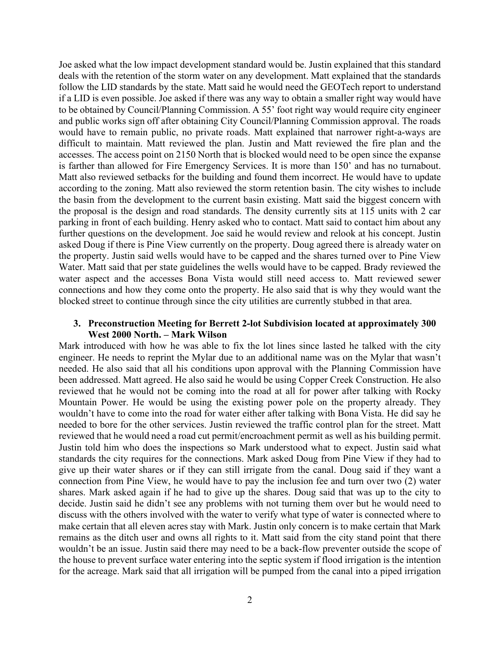Joe asked what the low impact development standard would be. Justin explained that this standard deals with the retention of the storm water on any development. Matt explained that the standards follow the LID standards by the state. Matt said he would need the GEOTech report to understand if a LID is even possible. Joe asked if there was any way to obtain a smaller right way would have to be obtained by Council/Planning Commission. A 55' foot right way would require city engineer and public works sign off after obtaining City Council/Planning Commission approval. The roads would have to remain public, no private roads. Matt explained that narrower right-a-ways are difficult to maintain. Matt reviewed the plan. Justin and Matt reviewed the fire plan and the accesses. The access point on 2150 North that is blocked would need to be open since the expanse is farther than allowed for Fire Emergency Services. It is more than 150' and has no turnabout. Matt also reviewed setbacks for the building and found them incorrect. He would have to update according to the zoning. Matt also reviewed the storm retention basin. The city wishes to include the basin from the development to the current basin existing. Matt said the biggest concern with the proposal is the design and road standards. The density currently sits at 115 units with 2 car parking in front of each building. Henry asked who to contact. Matt said to contact him about any further questions on the development. Joe said he would review and relook at his concept. Justin asked Doug if there is Pine View currently on the property. Doug agreed there is already water on the property. Justin said wells would have to be capped and the shares turned over to Pine View Water. Matt said that per state guidelines the wells would have to be capped. Brady reviewed the water aspect and the accesses Bona Vista would still need access to. Matt reviewed sewer connections and how they come onto the property. He also said that is why they would want the blocked street to continue through since the city utilities are currently stubbed in that area.

### **3. Preconstruction Meeting for Berrett 2-lot Subdivision located at approximately 300 West 2000 North. – Mark Wilson**

Mark introduced with how he was able to fix the lot lines since lasted he talked with the city engineer. He needs to reprint the Mylar due to an additional name was on the Mylar that wasn't needed. He also said that all his conditions upon approval with the Planning Commission have been addressed. Matt agreed. He also said he would be using Copper Creek Construction. He also reviewed that he would not be coming into the road at all for power after talking with Rocky Mountain Power. He would be using the existing power pole on the property already. They wouldn't have to come into the road for water either after talking with Bona Vista. He did say he needed to bore for the other services. Justin reviewed the traffic control plan for the street. Matt reviewed that he would need a road cut permit/encroachment permit as well as his building permit. Justin told him who does the inspections so Mark understood what to expect. Justin said what standards the city requires for the connections. Mark asked Doug from Pine View if they had to give up their water shares or if they can still irrigate from the canal. Doug said if they want a connection from Pine View, he would have to pay the inclusion fee and turn over two (2) water shares. Mark asked again if he had to give up the shares. Doug said that was up to the city to decide. Justin said he didn't see any problems with not turning them over but he would need to discuss with the others involved with the water to verify what type of water is connected where to make certain that all eleven acres stay with Mark. Justin only concern is to make certain that Mark remains as the ditch user and owns all rights to it. Matt said from the city stand point that there wouldn't be an issue. Justin said there may need to be a back-flow preventer outside the scope of the house to prevent surface water entering into the septic system if flood irrigation is the intention for the acreage. Mark said that all irrigation will be pumped from the canal into a piped irrigation